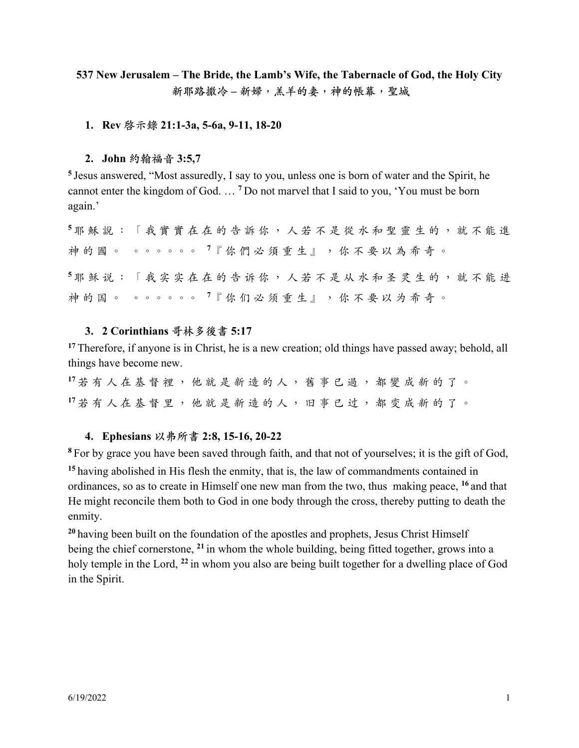# **537 New Jerusalem – The Bride, the Lamb's Wife, the Tabernacle of God, the Holy City** 新耶路撒冷-新婦,羔羊的妻,神的帳幕,聖城

# **1. Rev 啓⽰錄 21:1-3a, 5-6a, 9-11, 18-20**

# **2. John 約翰福⾳ 3:5,7**

**<sup>5</sup>** Jesus answered, "Most assuredly, I say to you, unless one is born of water and the Spirit, he cannot enter the kingdom of God. … **<sup>7</sup>** Do not marvel that I said to you, 'You must be born again.'

**<sup>5</sup>** 耶 穌 說 : 「 我 實 實 在 在 的 告 訴 你 , ⼈ 若 不 是 從 ⽔ 和 聖 靈 ⽣ 的 , 就 不 能 進 神 的 國 。 。。。。。。。。<sup>7</sup>『 你 們 必 須 重 生 』 , 你 不 要 以 為 希 奇 。 5 耶 稣 说 : 「 我 实 实 在 在 的 告 诉 你 , 人 若 不 是 从 水 和 圣 灵 生 的 , 就 不 能 讲 神 的 国 。 。 。 。 。 。 。 7 『 你 们 必 须 重 生 』 , 你 不 要 以 为 希 奇 。

### **3. 2 Corinthians 哥林多後書 5:17**

**<sup>17</sup>** Therefore, if anyone is in Christ, he is a new creation; old things have passed away; behold, all things have become new.

**<sup>17</sup>** 若 有 ⼈ 在 基 督 裡 , 他 就 是 新 造 的 ⼈ , 舊 事 已 過 , 都 變 成 新 的 了 。 **<sup>17</sup>** 若 有 ⼈ 在 基 督 ⾥ , 他 就 是 新 造 的 ⼈ , 旧 事 已 过 , 都 变 成 新 的 了 。

# **4. Ephesians 以弗所書 2:8, 15-16, 20-22**

**<sup>8</sup>** For by grace you have been saved through faith, and that not of yourselves; it is the gift of God, **<sup>15</sup>** having abolished in His flesh the enmity, that is, the law of commandments contained in ordinances, so as to create in Himself one new man from the two, thus making peace, **<sup>16</sup>** and that He might reconcile them both to God in one body through the cross, thereby putting to death the enmity.

**<sup>20</sup>** having been built on the foundation of the apostles and prophets, Jesus Christ Himself being the chief cornerstone, **<sup>21</sup>** in whom the whole building, being fitted together, grows into a holy temple in the Lord, **<sup>22</sup>** in whom you also are being built together for a dwelling place of God in the Spirit.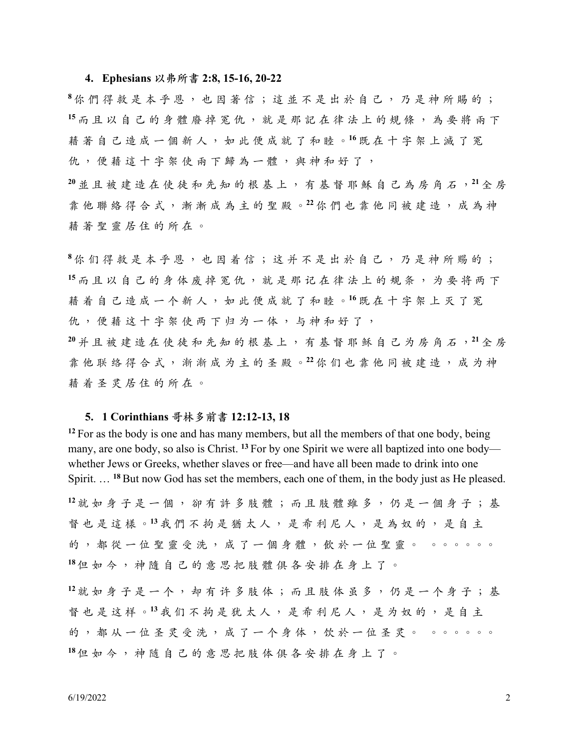#### **4. Ephesians 以弗所書 2:8, 15-16, 20-22**

 $8$  你 們 得 救 是 本 乎 恩 , 也 因 著 信 ; 這 並 不 是 出 於 自 己 , 乃 是 神 所 賜 的 ; 15 而且以自己的身體廢掉冤仇,就是那記在律法上的規條,為要將兩下 藉 著 ⾃ ⼰ 造 成 ⼀ 個 新 ⼈ , 如 此 便 成 就 了 和 睦 。**<sup>16</sup>** 既 在 ⼗ 字 架 上 滅 了 冤 仇,便藉這十字架使兩下歸為一體,與神和好了,

**<sup>20</sup>** 並 且 被 建 造 在 使 徒 和 先 知 的 根 基 上 , 有 基 督 耶 穌 ⾃ ⼰ 為 房 ⾓ ⽯ ,**<sup>21</sup>** 全 房 靠 他 聯 絡 得 合 式 , 漸 漸 成 為 主 的 聖 殿 。**<sup>22</sup>** 你 們 也 靠 他 同 被 建 造 , 成 為 神 藉 著 聖 靈 居 住 的 所 在 。

 $8$ 你 们 得 救 是 本 乎 恩 , 也 因 着 信 ; 这 并 不 是 出 於 自 己 , 乃 是 神 所 赐 的 ; 15 而且以自己的身体废掉冤仇,就是那记在律法上的规条,为要将两下 藉 着 ⾃ ⼰ 造 成 ⼀ 个 新 ⼈ , 如 此 便 成 就 了 和 睦 。**<sup>16</sup>** 既 在 ⼗ 字 架 上 灭 了 冤 仇,便藉这十字架使两下归为一体,与神和好了,

**<sup>20</sup>** 并 且 被 建 造 在 使 徒 和 先 知 的 根 基 上 , 有 基 督 耶 稣 ⾃ ⼰ 为 房 ⾓ ⽯ ,**<sup>21</sup>** 全 房 靠 他 联 络 得 合 式 , 渐 渐 成 为 主 的 圣 殿 。<sup>22</sup> 你 们 也 靠 他 同 被 建 造 , 成 为 神 藉 着 圣 灵 居 住 的 所 在 。

#### **5. 1 Corinthians 哥林多前書 12:12-13, 18**

<sup>12</sup> For as the body is one and has many members, but all the members of that one body, being many, are one body, so also is Christ. **<sup>13</sup>** For by one Spirit we were all baptized into one body whether Jews or Greeks, whether slaves or free—and have all been made to drink into one Spirit. … **<sup>18</sup>** But now God has set the members, each one of them, in the body just as He pleased.

12 就 如 身 子 是 一 個 , 卻 有 許 多 肢 體 ; 而 且 肢 體 雖 多 , 仍 是 一 個 身 子 ; 基 督也是這樣。<sup>13</sup>我們不拘是猶太人,是希利尼人,是為奴的,是自主 的,都從一位聖靈受洗,成了一個身體,飲於一位聖靈。。。。。。。 **<sup>18</sup>** 但 如 今 , 神 隨 ⾃ ⼰ 的 意 思 把 肢 體 俱 各 安 排 在 ⾝ 上 了 。

12 就如身子是一个,却有许多肢体;而且肢体虽多,仍是一个身子;基 督也是这样。<sup>13</sup>我们不拘是犹太人,是希利尼人,是为奴的,是自主 的,都从一位圣灵受洗,成了一个身体,饮於一位圣灵。。。。。。。。 **<sup>18</sup>** 但 如 今 , 神 随 ⾃ ⼰ 的 意 思 把 肢 体 俱 各 安 排 在 ⾝ 上 了 。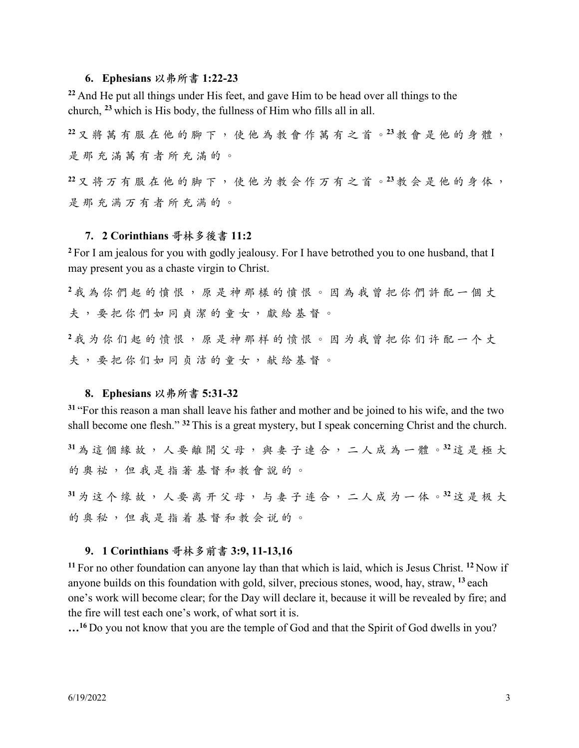# **6. Ephesians 以弗所書 1:22-23**

**<sup>22</sup>** And He put all things under His feet, and gave Him to be head over all things to the church, **<sup>23</sup>** which is His body, the fullness of Him who fills all in all.

 $22$ 又將萬有服在他的腳下,使他為教會作萬有之首。<sup>23</sup>教會是他的身體, 是那充满萬有者所充滿的。

 $22$ 又将万有服在他的脚下,使他为教会作万有之首。<sup>23</sup>教会是他的身体, 是 那 充 满 万 有 者 所 充 满 的 。

### **7. 2 Corinthians 哥林多後書 11:2**

**<sup>2</sup>** For I am jealous for you with godly jealousy. For I have betrothed you to one husband, that I may present you as a chaste virgin to Christ.

 $2$ 我為你們起的憤恨,原是神那樣的憤恨。因為我曾把你們許配一個丈 夫,要把你們如同貞潔的童女,獻給基督。

**<sup>2</sup>** 我 为 你 们 起 的 愤 恨 , 原 是 神 那 样 的 愤 恨 。 因 为 我 曾 把 你 们 许 配 ⼀ 个 丈 夫,要把你们如同贞洁的童女,献给基督。

#### **8. Ephesians 以弗所書 5:31-32**

**<sup>31</sup>** "For this reason a man shall leave his father and mother and be joined to his wife, and the two shall become one flesh." **<sup>32</sup>** This is a great mystery, but I speak concerning Christ and the church.

**<sup>31</sup>** 為 這 個 緣 故 , ⼈ 要 離 開 ⽗ 母 , 與 妻 ⼦ 連 合 , ⼆ ⼈ 成 為 ⼀ 體 。**<sup>32</sup>** 這 是 極 ⼤ 的奥祕,但我是指著基督和教會說的。

**<sup>31</sup>** 为 这 个 缘 故 , ⼈ 要 离 开 ⽗ 母 , 与 妻 ⼦ 连 合 , ⼆ ⼈ 成 为 ⼀ 体 。**<sup>32</sup>** 这 是 极 ⼤ 的奥秘,但我是指着基督和教会说的。

# **9. 1 Corinthians 哥林多前書 3:9, 11-13,16**

**<sup>11</sup>** For no other foundation can anyone lay than that which is laid, which is Jesus Christ. **<sup>12</sup>** Now if anyone builds on this foundation with gold, silver, precious stones, wood, hay, straw, **<sup>13</sup>** each one's work will become clear; for the Day will declare it, because it will be revealed by fire; and the fire will test each one's work, of what sort it is.

**…16** Do you not know that you are the temple of God and that the Spirit of God dwells in you?